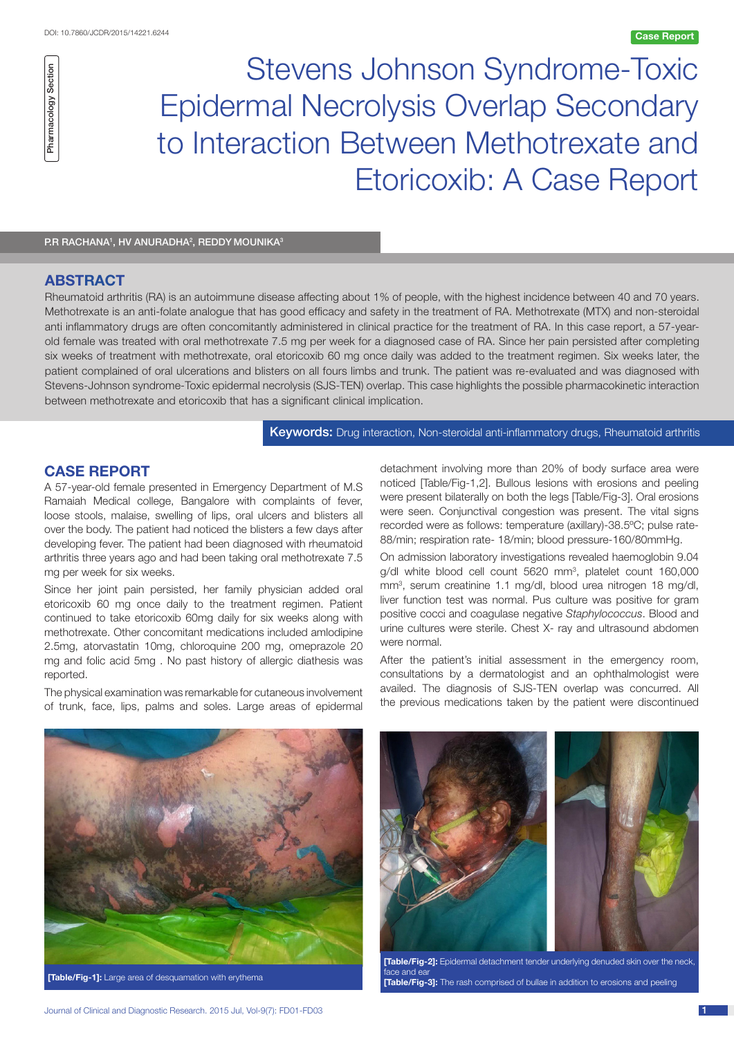Stevens Johnson Syndrome-Toxic Epidermal Necrolysis Overlap Secondary to Interaction Between Methotrexate and Etoricoxib: A Case Report

P.R RACHANA1, HV ANURADHA2, REDDY MOUNIKA3

# **ABSTRACT**

Pharmacology Section

Pharmacology Section

Rheumatoid arthritis (RA) is an autoimmune disease affecting about 1% of people, with the highest incidence between 40 and 70 years. Methotrexate is an anti-folate analogue that has good efficacy and safety in the treatment of RA. Methotrexate (MTX) and non-steroidal anti inflammatory drugs are often concomitantly administered in clinical practice for the treatment of RA. In this case report, a 57-yearold female was treated with oral methotrexate 7.5 mg per week for a diagnosed case of RA. Since her pain persisted after completing six weeks of treatment with methotrexate, oral etoricoxib 60 mg once daily was added to the treatment regimen. Six weeks later, the patient complained of oral ulcerations and blisters on all fours limbs and trunk. The patient was re-evaluated and was diagnosed with Stevens-Johnson syndrome-Toxic epidermal necrolysis (SJS-TEN) overlap. This case highlights the possible pharmacokinetic interaction between methotrexate and etoricoxib that has a significant clinical implication.

Keywords: Drug interaction, Non-steroidal anti-inflammatory drugs, Rheumatoid arthritis

## **case report**

A 57-year-old female presented in Emergency Department of M.S Ramaiah Medical college, Bangalore with complaints of fever, loose stools, malaise, swelling of lips, oral ulcers and blisters all over the body. The patient had noticed the blisters a few days after developing fever. The patient had been diagnosed with rheumatoid arthritis three years ago and had been taking oral methotrexate 7.5 mg per week for six weeks.

Since her joint pain persisted, her family physician added oral etoricoxib 60 mg once daily to the treatment regimen. Patient continued to take etoricoxib 60mg daily for six weeks along with methotrexate. Other concomitant medications included amlodipine 2.5mg, atorvastatin 10mg, chloroquine 200 mg, omeprazole 20 mg and folic acid 5mg . No past history of allergic diathesis was reported.

The physical examination was remarkable for cutaneous involvement of trunk, face, lips, palms and soles. Large areas of epidermal

detachment involving more than 20% of body surface area were noticed [Table/Fig-1,2]. Bullous lesions with erosions and peeling were present bilaterally on both the legs [Table/Fig-3]. Oral erosions were seen. Conjunctival congestion was present. The vital signs recorded were as follows: temperature (axillary)-38.5ºC; pulse rate-88/min; respiration rate- 18/min; blood pressure-160/80mmHg.

On admission laboratory investigations revealed haemoglobin 9.04 g/dl white blood cell count 5620 mm<sup>3</sup>, platelet count 160,000 mm3 , serum creatinine 1.1 mg/dl, blood urea nitrogen 18 mg/dl, liver function test was normal. Pus culture was positive for gram positive cocci and coagulase negative *Staphylococcus*. Blood and urine cultures were sterile. Chest X- ray and ultrasound abdomen were normal.

After the patient's initial assessment in the emergency room, consultations by a dermatologist and an ophthalmologist were availed. The diagnosis of SJS-TEN overlap was concurred. All the previous medications taken by the patient were discontinued



**[Table/Fig-1]:** Large area of desquamation with erythema



**[Table/Fig-2]:** Epidermal detachment tender underlying denuded skin over the neck, ace and e **[Table/Fig-3]:** The rash comprised of bullae in addition to erosions and peeling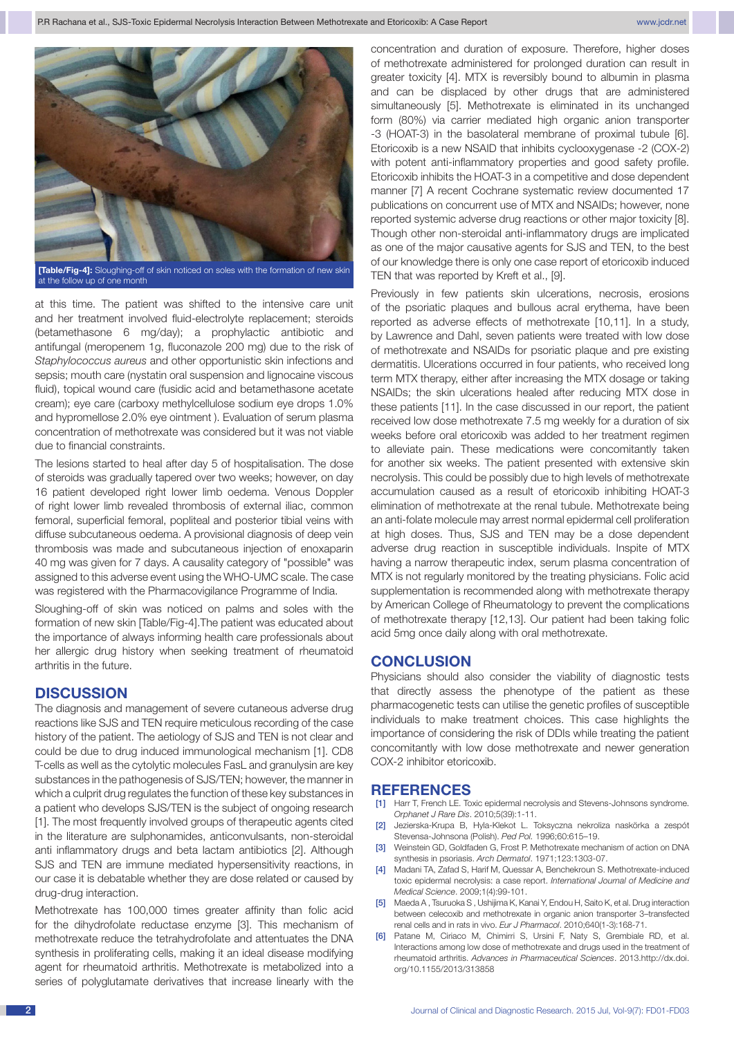

at the follow up of one month

at this time. The patient was shifted to the intensive care unit and her treatment involved fluid-electrolyte replacement; steroids (betamethasone 6 mg/day); a prophylactic antibiotic and antifungal (meropenem 1g, fluconazole 200 mg) due to the risk of *Staphylococcus aureus* and other opportunistic skin infections and sepsis; mouth care (nystatin oral suspension and lignocaine viscous fluid), topical wound care (fusidic acid and betamethasone acetate cream); eye care (carboxy methylcellulose sodium eye drops 1.0% and hypromellose 2.0% eye ointment ). Evaluation of serum plasma concentration of methotrexate was considered but it was not viable due to financial constraints.

The lesions started to heal after day 5 of hospitalisation. The dose of steroids was gradually tapered over two weeks; however, on day 16 patient developed right lower limb oedema. Venous Doppler of right lower limb revealed thrombosis of external iliac, common femoral, superficial femoral, popliteal and posterior tibial veins with diffuse subcutaneous oedema. A provisional diagnosis of deep vein thrombosis was made and subcutaneous injection of enoxaparin 40 mg was given for 7 days. A causality category of "possible" was assigned to this adverse event using the WHO-UMC scale. The case was registered with the Pharmacovigilance Programme of India.

Sloughing-off of skin was noticed on palms and soles with the formation of new skin [Table/Fig-4].The patient was educated about the importance of always informing health care professionals about her allergic drug history when seeking treatment of rheumatoid arthritis in the future.

## **DISCUSSION**

The diagnosis and management of severe cutaneous adverse drug reactions like SJS and TEN require meticulous recording of the case history of the patient. The aetiology of SJS and TEN is not clear and could be due to drug induced immunological mechanism [1]. CD8 T-cells as well as the cytolytic molecules FasL and granulysin are key substances in the pathogenesis of SJS/TEN; however, the manner in which a culprit drug regulates the function of these key substances in a patient who develops SJS/TEN is the subject of ongoing research [1]. The most frequently involved groups of therapeutic agents cited in the literature are sulphonamides, anticonvulsants, non-steroidal anti inflammatory drugs and beta lactam antibiotics [2]. Although SJS and TEN are immune mediated hypersensitivity reactions, in our case it is debatable whether they are dose related or caused by drug-drug interaction.

Methotrexate has 100,000 times greater affinity than folic acid for the dihydrofolate reductase enzyme [3]. This mechanism of methotrexate reduce the tetrahydrofolate and attentuates the DNA synthesis in proliferating cells, making it an ideal disease modifying agent for rheumatoid arthritis. Methotrexate is metabolized into a series of polyglutamate derivatives that increase linearly with the concentration and duration of exposure. Therefore, higher doses of methotrexate administered for prolonged duration can result in greater toxicity [4]. MTX is reversibly bound to albumin in plasma and can be displaced by other drugs that are administered simultaneously [5]. Methotrexate is eliminated in its unchanged form (80%) via carrier mediated high organic anion transporter -3 (HOAT-3) in the basolateral membrane of proximal tubule [6]. Etoricoxib is a new NSAID that inhibits cyclooxygenase -2 (COX-2) with potent anti-inflammatory properties and good safety profile. Etoricoxib inhibits the HOAT-3 in a competitive and dose dependent manner [7] A recent Cochrane systematic review documented 17 publications on concurrent use of MTX and NSAIDs; however, none reported systemic adverse drug reactions or other major toxicity [8]. Though other non-steroidal anti-inflammatory drugs are implicated as one of the major causative agents for SJS and TEN, to the best of our knowledge there is only one case report of etoricoxib induced TEN that was reported by Kreft et al., [9].

Previously in few patients skin ulcerations, necrosis, erosions of the psoriatic plaques and bullous acral erythema, have been reported as adverse effects of methotrexate [10,11]. In a study, by Lawrence and Dahl, seven patients were treated with low dose of methotrexate and NSAIDs for psoriatic plaque and pre existing dermatitis. Ulcerations occurred in four patients, who received long term MTX therapy, either after increasing the MTX dosage or taking NSAIDs; the skin ulcerations healed after reducing MTX dose in these patients [11]. In the case discussed in our report, the patient received low dose methotrexate 7.5 mg weekly for a duration of six weeks before oral etoricoxib was added to her treatment regimen to alleviate pain. These medications were concomitantly taken for another six weeks. The patient presented with extensive skin necrolysis. This could be possibly due to high levels of methotrexate accumulation caused as a result of etoricoxib inhibiting HOAT-3 elimination of methotrexate at the renal tubule. Methotrexate being an anti-folate molecule may arrest normal epidermal cell proliferation at high doses. Thus, SJS and TEN may be a dose dependent adverse drug reaction in susceptible individuals. Inspite of MTX having a narrow therapeutic index, serum plasma concentration of MTX is not regularly monitored by the treating physicians. Folic acid supplementation is recommended along with methotrexate therapy by American College of Rheumatology to prevent the complications of methotrexate therapy [12,13]. Our patient had been taking folic acid 5mg once daily along with oral methotrexate.

## **CONCLUSION**

Physicians should also consider the viability of diagnostic tests that directly assess the phenotype of the patient as these pharmacogenetic tests can utilise the genetic profiles of susceptible individuals to make treatment choices. This case highlights the importance of considering the risk of DDIs while treating the patient concomitantly with low dose methotrexate and newer generation COX-2 inhibitor etoricoxib.

## **References**

- [1] Harr T, French LE. Toxic epidermal necrolysis and Stevens-Johnsons syndrome. *Orphanet J Rare Dis*. 2010;5(39):1-11.
- Jezierska-Krupa B, Hyla-Klekot L. Toksyczna nekroliza naskörka a zespót Stevensa-Johnsona (Polish). *Ped Pol.* 1996;60:615–19.
- [3] Weinstein GD, Goldfaden G, Frost P. Methotrexate mechanism of action on DNA synthesis in psoriasis. *Arch Dermatol*. 1971;123:1303-07.
- [4] Madani TA, Zafad S, Harif M, Quessar A, Benchekroun S. Methotrexate-induced toxic epidermal necrolysis: a case report. *International Journal of Medicine and Medical Science*. 2009;1(4):99-101.
- [5] Maeda A , Tsuruoka S , Ushijima K, Kanai Y, Endou H, Saito K, et al. Drug interaction between celecoxib and methotrexate in organic anion transporter 3–transfected renal cells and in rats in vivo. *Eur J Pharmacol*. 2010;640(1-3):168-71.
- [6] Patane M, Ciriaco M, Chimirri S, Ursini F, Naty S, Grembiale RD, et al. Interactions among low dose of methotrexate and drugs used in the treatment of rheumatoid arthritis. *Advances in Pharmaceutical Sciences*. 2013.http://dx.doi. org/10.1155/2013/313858